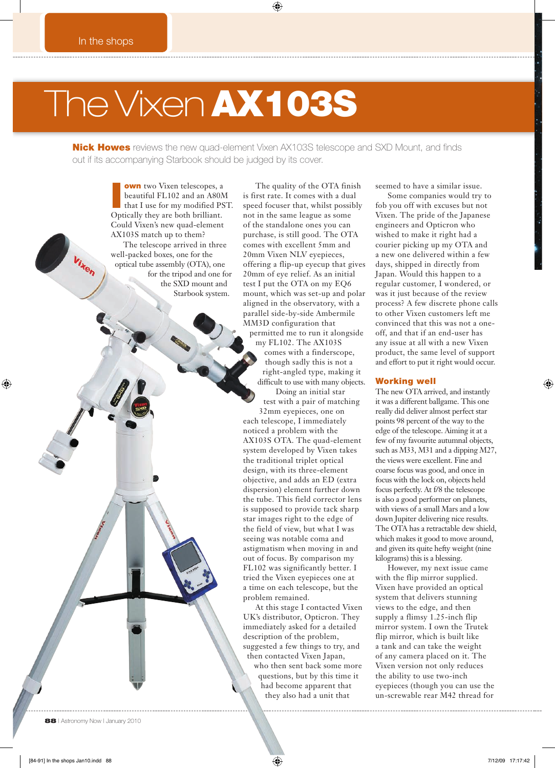# The Vixen AX103S

**Nick Howes** reviews the new quad-element Vixen AX103S telescope and SXD Mount, and finds out if its accompanying Starbook should be judged by its cover.

**I own** two Vixen telescopes, a beautiful FL102 and an A80M<br>that I use for my modified PST. beautiful FL102 and an A80M Optically they are both brilliant. Could Vixen's new quad-element AX103S match up to them? The telescope arrived in three well-packed boxes, one for the optical tube assembly (OTA), one for the tripod and one for the SXD mount and Starbook system.

The quality of the OTA finish is first rate. It comes with a dual speed focuser that, whilst possibly not in the same league as some of the standalone ones you can purchase, is still good. The OTA comes with excellent 5mm and 20mm Vixen NLV eyepieces, offering a flip-up eyecup that gives 20mm of eye relief. As an initial test I put the OTA on my EQ6 mount, which was set-up and polar aligned in the observatory, with a parallel side-by-side Ambermile MM3D configuration that permitted me to run it alongside my FL102. The AX103S comes with a finderscope, though sadly this is not a right-angled type, making it difficult to use with many objects. Doing an initial star test with a pair of matching 32mm eyepieces, one on each telescope, I immediately noticed a problem with the AX103S OTA. The quad-element system developed by Vixen takes the traditional triplet optical design, with its three-element objective, and adds an ED (extra dispersion) element further down the tube. This field corrector lens is supposed to provide tack sharp

star images right to the edge of the field of view, but what I was seeing was notable coma and astigmatism when moving in and out of focus. By comparison my FL102 was significantly better. I tried the Vixen eyepieces one at a time on each telescope, but the problem remained.

At this stage I contacted Vixen UK's distributor, Opticron. They immediately asked for a detailed description of the problem, suggested a few things to try, and then contacted Vixen Japan, who then sent back some more questions, but by this time it had become apparent that they also had a unit that

seemed to have a similar issue.

Some companies would try to fob you off with excuses but not Vixen. The pride of the Japanese engineers and Opticron who wished to make it right had a courier picking up my OTA and a new one delivered within a few days, shipped in directly from Japan. Would this happen to a regular customer, I wondered, or was it just because of the review process? A few discrete phone calls to other Vixen customers left me convinced that this was not a oneoff, and that if an end-user has any issue at all with a new Vixen product, the same level of support and effort to put it right would occur.

#### Working well

The new OTA arrived, and instantly it was a different ballgame. This one really did deliver almost perfect star points 98 percent of the way to the edge of the telescope. Aiming it at a few of my favourite autumnal objects, such as M33, M31 and a dipping M27, the views were excellent. Fine and coarse focus was good, and once in focus with the lock on, objects held focus perfectly. At f/8 the telescope is also a good performer on planets, with views of a small Mars and a low down Jupiter delivering nice results. The OTA has a retractable dew shield, which makes it good to move around, and given its quite hefty weight (nine kilograms) this is a blessing.

However, my next issue came with the flip mirror supplied. Vixen have provided an optical system that delivers stunning views to the edge, and then supply a flimsy 1.25-inch flip mirror system. I own the Trutek flip mirror, which is built like a tank and can take the weight of any camera placed on it. The Vixen version not only reduces the ability to use two-inch eyepieces (though you can use the un-screwable rear M42 thread for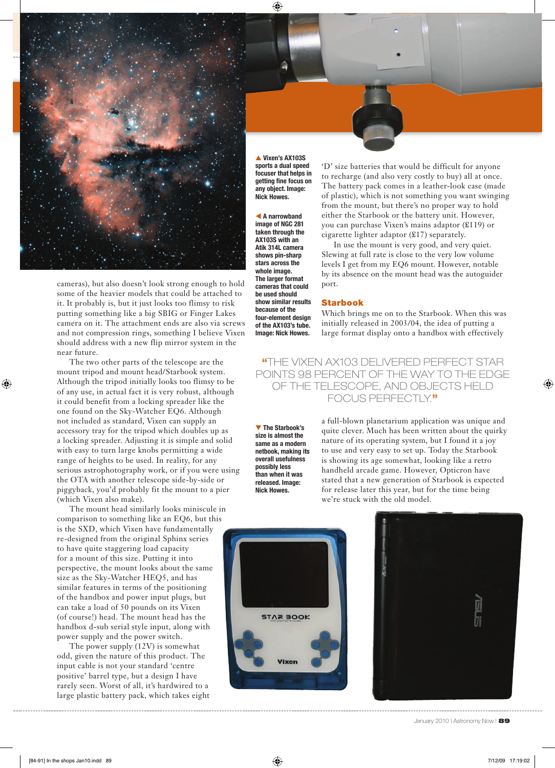

▲ **Vixen's AX103S sports a dual speed focuser that helps in**  getting fine focus on **any object. Image: Nick Howes.** 

 **A narrowband image of NGC 281 taken through the AX103S with an Atik 314L camera shows pin-sharp stars across the whole image. The larger format cameras that could be used should show similar results because of the four-element design of the AX103's tube. Image: Nick Howes.**

cameras), but also doesn't look strong enough to hold some of the heavier models that could be attached to it. It probably is, but it just looks too flimsy to risk putting something like a big SBIG or Finger Lakes camera on it. The attachment ends are also via screws and not compression rings, something I believe Vixen should address with a new flip mirror system in the near future.

The two other parts of the telescope are the mount tripod and mount head/Starbook system. Although the tripod initially looks too flimsy to be of any use, in actual fact it is very robust, although it could benefit from a locking spreader like the one found on the Sky-Watcher EQ6. Although not included as standard, Vixen can supply an accessory tray for the tripod which doubles up as a locking spreader. Adjusting it is simple and solid with easy to turn large knobs permitting a wide range of heights to be used. In reality, for any serious astrophotography work, or if you were using the OTA with another telescope side-by-side or piggyback, you'd probably fit the mount to a pier (which Vixen also make).

The mount head similarly looks miniscule in comparison to something like an EQ6, but this is the SXD, which Vixen have fundamentally re-designed from the original Sphinx series to have quite staggering load capacity for a mount of this size. Putting it into perspective, the mount looks about the same size as the Sky-Watcher HEQ5, and has similar features in terms of the positioning of the handbox and power input plugs, but can take a load of 50 pounds on its Vixen (of course!) head. The mount head has the handbox d-sub serial style input, along with power supply and the power switch.

The power supply (12V) is somewhat odd, given the nature of this product. The input cable is not your standard 'centre positive' barrel type, but a design I have rarely seen. Worst of all, it's hardwired to a large plastic battery pack, which takes eight

'D' size batteries that would be difficult for anyone to recharge (and also very costly to buy) all at once. The battery pack comes in a leather-look case (made of plastic), which is not something you want swinging from the mount, but there's no proper way to hold either the Starbook or the battery unit. However, you can purchase Vixen's mains adaptor (£119) or cigarette lighter adaptor (£17) separately.

In use the mount is very good, and very quiet. Slewing at full rate is close to the very low volume levels I get from my EQ6 mount. However, notable by its absence on the mount head was the autoguider port.

#### Starbook

Which brings me on to the Starbook. When this was initially released in 2003/04, the idea of putting a large format display onto a handbox with effectively

"THE VIXEN AX103 DELIVERED PERFECT STAR POINTS 98 PERCENT OF THE WAY TO THE EDGE OF THE TELESCOPE, AND OBJECTS HELD FOCUS PERFECTLY."

▼ **The Starbook's size is almost the same as a modern netbook, making its overall usefulness possibly less than when it was released. Image: Nick Howes.**

a full-blown planetarium application was unique and quite clever. Much has been written about the quirky nature of its operating system, but I found it a joy to use and very easy to set up. Today the Starbook is showing its age somewhat, looking like a retro handheld arcade game. However, Opticron have stated that a new generation of Starbook is expected for release later this year, but for the time being we're stuck with the old model.